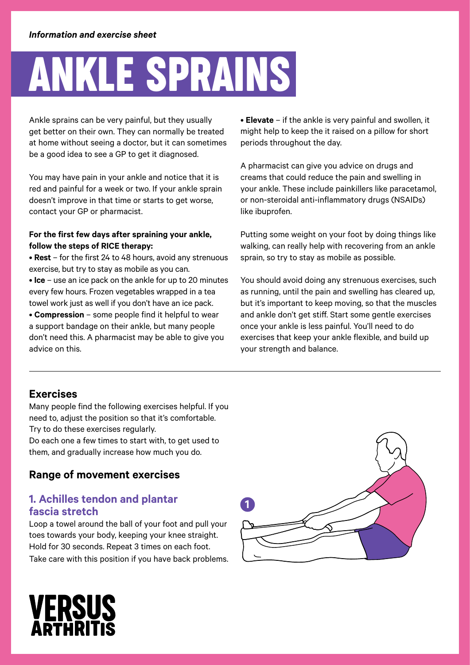# Ankle sprains

Ankle sprains can be very painful, but they usually get better on their own. They can normally be treated at home without seeing a doctor, but it can sometimes be a good idea to see a GP to get it diagnosed.

You may have pain in your ankle and notice that it is red and painful for a week or two. If your ankle sprain doesn't improve in that time or starts to get worse, contact your GP or pharmacist.

#### **For the first few days after spraining your ankle, follow the steps of RICE therapy:**

• **Rest** – for the first 24 to 48 hours, avoid any strenuous exercise, but try to stay as mobile as you can. • **Ice** – use an ice pack on the ankle for up to 20 minutes every few hours. Frozen vegetables wrapped in a tea towel work just as well if you don't have an ice pack. • **Compression** – some people find it helpful to wear a support bandage on their ankle, but many people don't need this. A pharmacist may be able to give you advice on this.

• **Elevate** – if the ankle is very painful and swollen, it might help to keep the it raised on a pillow for short periods throughout the day.

A pharmacist can give you advice on drugs and creams that could reduce the pain and swelling in your ankle. These include painkillers like paracetamol, or non-steroidal anti-inflammatory drugs (NSAIDs) like ibuprofen.

Putting some weight on your foot by doing things like walking, can really help with recovering from an ankle sprain, so try to stay as mobile as possible.

You should avoid doing any strenuous exercises, such as running, until the pain and swelling has cleared up, but it's important to keep moving, so that the muscles and ankle don't get stiff. Start some gentle exercises once your ankle is less painful. You'll need to do exercises that keep your ankle flexible, and build up your strength and balance.

## **Exercises**

Many people find the following exercises helpful. If you need to, adjust the position so that it's comfortable. Try to do these exercises regularly.

Do each one a few times to start with, to get used to them, and gradually increase how much you do.

## **Range of movement exercises**

#### **1. Achilles tendon and plantar fascia stretch**

Loop a towel around the ball of your foot and pull your toes towards your body, keeping your knee straight. Hold for 30 seconds. Repeat 3 times on each foot. Take care with this position if you have back problems.